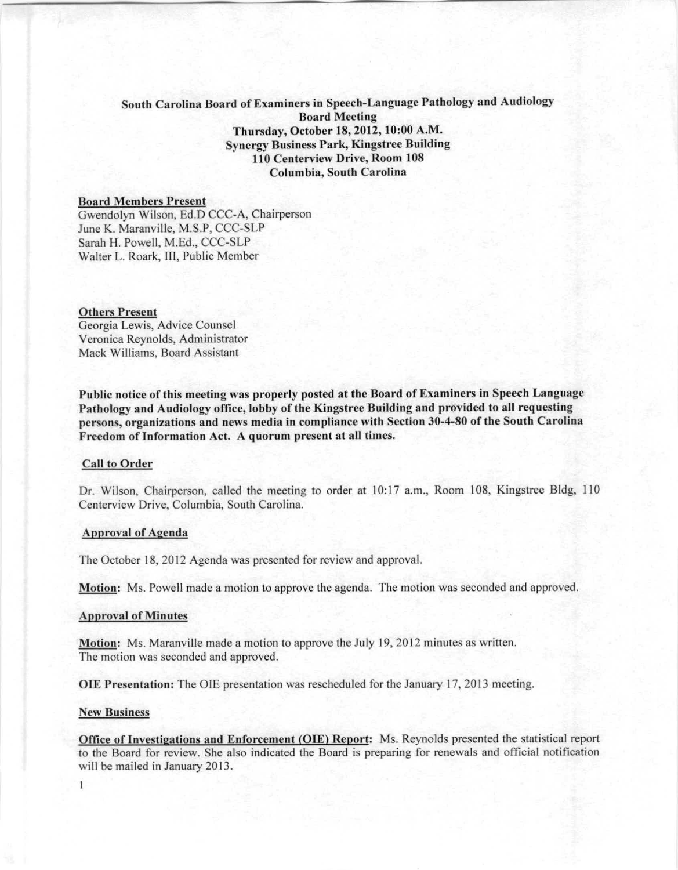# South Carolina Board of Examiners in Speech-Language Pathology and Audiology Board Meeting Thursday, October 18,2012, 10:00 A.M. Synergy Business Park, Kingstree Building 110 Centerview Drive, Room 108 Columbia, South Carolina

## **Board Members Present**

Gwendolyn Wilson, Ed.D CCC-A, Chairperson June K. Maranville, M.S.P, CCC-SLP Sarah H. Powell, M.Ed., CCC-SLP Walter L. Roark, III, Public Member

### Others Present

Georgia Lewis, Advice Counsel Veronica Reynolds, Administrator Mack Williams, Board Assistant

Puhlic notice of this meeting was properly posted at the Board of Examiners in Speech Language Pathology and Audiology office, lobby of the Kingstree Building and provided to all requesting persons, organizations and news media in compliance with Section 30-4-80 of the South Carolina Freedom of Information Act. A quorum present at all times.

#### Call to Order

Dr. Wilson, Chairperson, called the meeting to order at 10:17 a.m., Room 108, Kingstree Bldg, 110 Centerview Drive, Columbia, South Carolina.

# Approval of Agenda

The October 18, 2012 Agenda was presented for review and approval.

Motion: Ms. Powell made a motion to approve the agenda. The motion was seconded and approved.

### Approval of Minutes

Motion: Ms. Maranville made a motion to approve the July 19, 2012 minutes as written. The motion was seconded and approved.

OlE Presentation: The OlE presentation was rescheduled for the January 17, 2013 meeting.

#### New Business

 $\mathbf{I}$ 

Office of Investigations and Enforcement (OlE) Report: Ms. Reynolds presented the statistical report to the Board for review. She also indicated the Board is preparing for renewals and official notification will be mailed in January 2013.